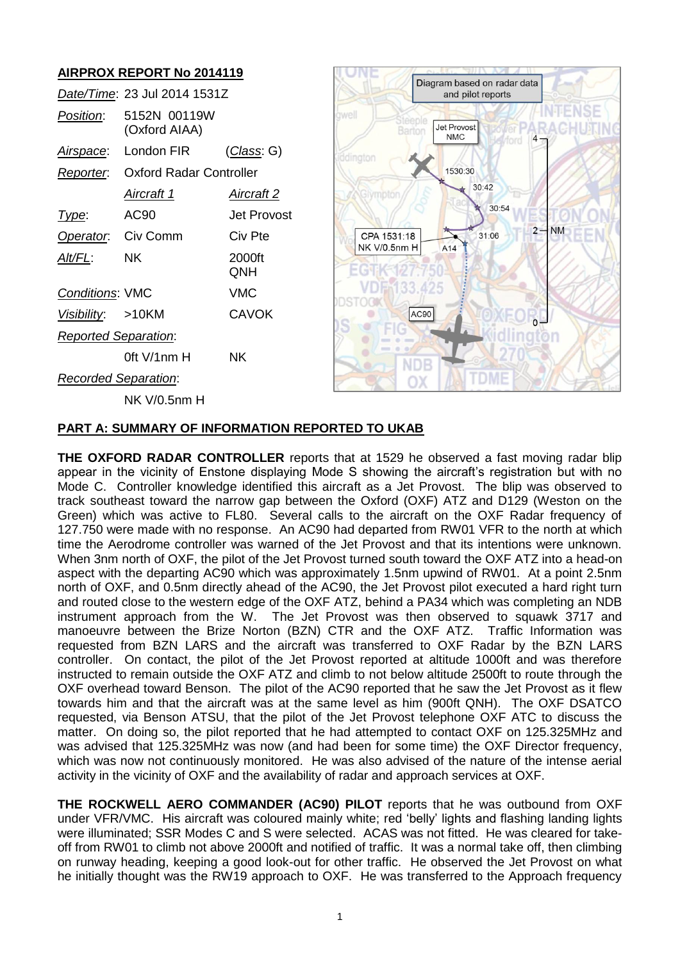# **AIRPROX REPORT No 2014119**

|                             | Date/Time: 23 Jul 2014 1531Z      |               |
|-----------------------------|-----------------------------------|---------------|
| <i>Position</i> :           | 5152N 00119W<br>(Oxford AIAA)     |               |
| <u>Airspace:</u>            | London FIR                        | (Class: G)    |
|                             | Reporter: Oxford Radar Controller |               |
|                             | Aircraft 1                        | Aircraft 2    |
| Type:                       | AC90                              | Jet Provost   |
| Operator. Civ Comm          |                                   | Civ Pte       |
| Alt/FL:                     | ΝK                                | 2000ft<br>QNH |
| <b>Conditions: VMC</b>      |                                   | VMC           |
| Visibility: >10KM           |                                   | CAVOK         |
| <b>Reported Separation:</b> |                                   |               |
|                             | 0ft $V/1$ nm H                    | ΝK            |
| Recorded Separation:        |                                   |               |
|                             | NK V/0.5nm H                      |               |



### **PART A: SUMMARY OF INFORMATION REPORTED TO UKAB**

**THE OXFORD RADAR CONTROLLER** reports that at 1529 he observed a fast moving radar blip appear in the vicinity of Enstone displaying Mode S showing the aircraft's registration but with no Mode C. Controller knowledge identified this aircraft as a Jet Provost. The blip was observed to track southeast toward the narrow gap between the Oxford (OXF) ATZ and D129 (Weston on the Green) which was active to FL80. Several calls to the aircraft on the OXF Radar frequency of 127.750 were made with no response. An AC90 had departed from RW01 VFR to the north at which time the Aerodrome controller was warned of the Jet Provost and that its intentions were unknown. When 3nm north of OXF, the pilot of the Jet Provost turned south toward the OXF ATZ into a head-on aspect with the departing AC90 which was approximately 1.5nm upwind of RW01. At a point 2.5nm north of OXF, and 0.5nm directly ahead of the AC90, the Jet Provost pilot executed a hard right turn and routed close to the western edge of the OXF ATZ, behind a PA34 which was completing an NDB instrument approach from the W. The Jet Provost was then observed to squawk 3717 and manoeuvre between the Brize Norton (BZN) CTR and the OXF ATZ. Traffic Information was requested from BZN LARS and the aircraft was transferred to OXF Radar by the BZN LARS controller. On contact, the pilot of the Jet Provost reported at altitude 1000ft and was therefore instructed to remain outside the OXF ATZ and climb to not below altitude 2500ft to route through the OXF overhead toward Benson. The pilot of the AC90 reported that he saw the Jet Provost as it flew towards him and that the aircraft was at the same level as him (900ft QNH). The OXF DSATCO requested, via Benson ATSU, that the pilot of the Jet Provost telephone OXF ATC to discuss the matter. On doing so, the pilot reported that he had attempted to contact OXF on 125.325MHz and was advised that 125.325MHz was now (and had been for some time) the OXF Director frequency, which was now not continuously monitored. He was also advised of the nature of the intense aerial activity in the vicinity of OXF and the availability of radar and approach services at OXF.

**THE ROCKWELL AERO COMMANDER (AC90) PILOT** reports that he was outbound from OXF under VFR/VMC. His aircraft was coloured mainly white; red 'belly' lights and flashing landing lights were illuminated; SSR Modes C and S were selected. ACAS was not fitted. He was cleared for takeoff from RW01 to climb not above 2000ft and notified of traffic. It was a normal take off, then climbing on runway heading, keeping a good look-out for other traffic. He observed the Jet Provost on what he initially thought was the RW19 approach to OXF. He was transferred to the Approach frequency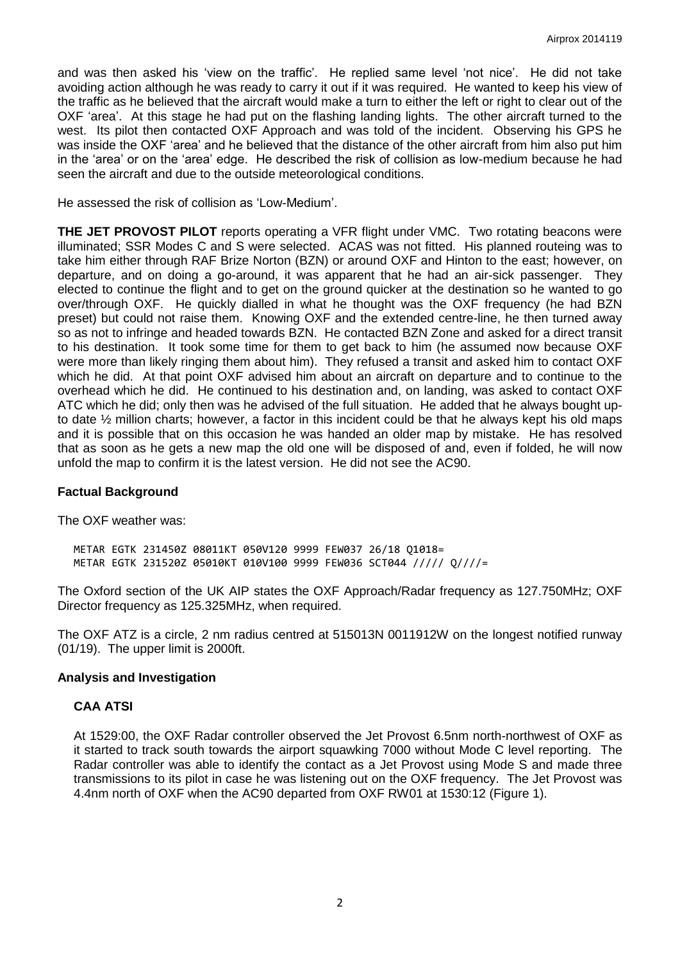and was then asked his 'view on the traffic'. He replied same level 'not nice'. He did not take avoiding action although he was ready to carry it out if it was required. He wanted to keep his view of the traffic as he believed that the aircraft would make a turn to either the left or right to clear out of the OXF 'area'. At this stage he had put on the flashing landing lights. The other aircraft turned to the west. Its pilot then contacted OXF Approach and was told of the incident. Observing his GPS he was inside the OXF 'area' and he believed that the distance of the other aircraft from him also put him in the 'area' or on the 'area' edge. He described the risk of collision as low-medium because he had seen the aircraft and due to the outside meteorological conditions.

He assessed the risk of collision as 'Low-Medium'.

**THE JET PROVOST PILOT** reports operating a VFR flight under VMC. Two rotating beacons were illuminated; SSR Modes C and S were selected. ACAS was not fitted. His planned routeing was to take him either through RAF Brize Norton (BZN) or around OXF and Hinton to the east; however, on departure, and on doing a go-around, it was apparent that he had an air-sick passenger. They elected to continue the flight and to get on the ground quicker at the destination so he wanted to go over/through OXF. He quickly dialled in what he thought was the OXF frequency (he had BZN preset) but could not raise them. Knowing OXF and the extended centre-line, he then turned away so as not to infringe and headed towards BZN. He contacted BZN Zone and asked for a direct transit to his destination. It took some time for them to get back to him (he assumed now because OXF were more than likely ringing them about him). They refused a transit and asked him to contact OXF which he did. At that point OXF advised him about an aircraft on departure and to continue to the overhead which he did. He continued to his destination and, on landing, was asked to contact OXF ATC which he did; only then was he advised of the full situation. He added that he always bought upto date ½ million charts; however, a factor in this incident could be that he always kept his old maps and it is possible that on this occasion he was handed an older map by mistake. He has resolved that as soon as he gets a new map the old one will be disposed of and, even if folded, he will now unfold the map to confirm it is the latest version. He did not see the AC90.

### **Factual Background**

The OXF weather was:

METAR EGTK 231450Z 08011KT 050V120 9999 FEW037 26/18 Q1018= METAR EGTK 231520Z 05010KT 010V100 9999 FEW036 SCT044 ///// Q////=

The Oxford section of the UK AIP states the OXF Approach/Radar frequency as 127.750MHz; OXF Director frequency as 125.325MHz, when required.

The OXF ATZ is a circle, 2 nm radius centred at 515013N 0011912W on the longest notified runway (01/19). The upper limit is 2000ft.

### **Analysis and Investigation**

### **CAA ATSI**

At 1529:00, the OXF Radar controller observed the Jet Provost 6.5nm north-northwest of OXF as it started to track south towards the airport squawking 7000 without Mode C level reporting. The Radar controller was able to identify the contact as a Jet Provost using Mode S and made three transmissions to its pilot in case he was listening out on the OXF frequency. The Jet Provost was 4.4nm north of OXF when the AC90 departed from OXF RW01 at 1530:12 (Figure 1).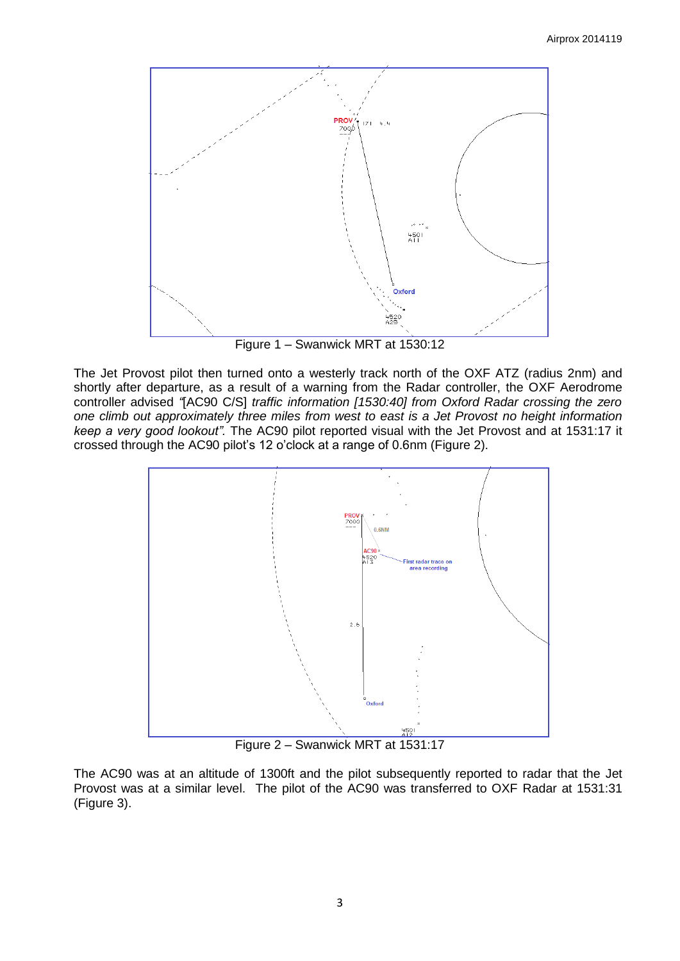

Figure 1 – Swanwick MRT at 1530:12

The Jet Provost pilot then turned onto a westerly track north of the OXF ATZ (radius 2nm) and shortly after departure, as a result of a warning from the Radar controller, the OXF Aerodrome controller advised *"*[AC90 C/S] *traffic information [1530:40] from Oxford Radar crossing the zero one climb out approximately three miles from west to east is a Jet Provost no height information keep a very good lookout".* The AC90 pilot reported visual with the Jet Provost and at 1531:17 it crossed through the AC90 pilot's 12 o'clock at a range of 0.6nm (Figure 2).



Figure 2 – Swanwick MRT at 1531:17

The AC90 was at an altitude of 1300ft and the pilot subsequently reported to radar that the Jet Provost was at a similar level. The pilot of the AC90 was transferred to OXF Radar at 1531:31 (Figure 3).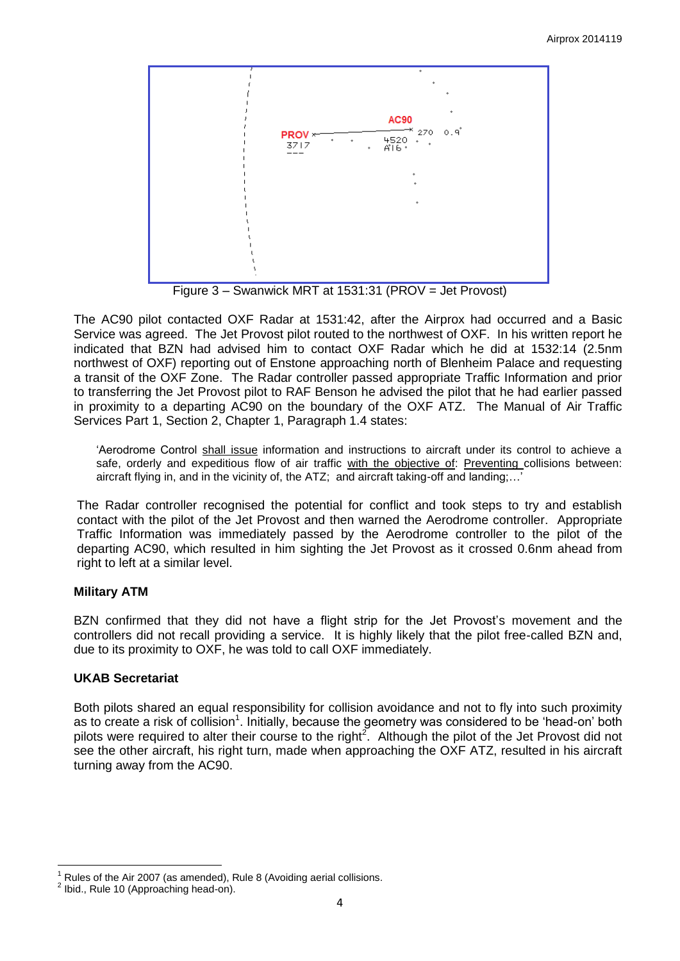

Figure 3 – Swanwick MRT at 1531:31 (PROV = Jet Provost)

The AC90 pilot contacted OXF Radar at 1531:42, after the Airprox had occurred and a Basic Service was agreed. The Jet Provost pilot routed to the northwest of OXF. In his written report he indicated that BZN had advised him to contact OXF Radar which he did at 1532:14 (2.5nm northwest of OXF) reporting out of Enstone approaching north of Blenheim Palace and requesting a transit of the OXF Zone. The Radar controller passed appropriate Traffic Information and prior to transferring the Jet Provost pilot to RAF Benson he advised the pilot that he had earlier passed in proximity to a departing AC90 on the boundary of the OXF ATZ. The Manual of Air Traffic Services Part 1, Section 2, Chapter 1, Paragraph 1.4 states:

'Aerodrome Control shall issue information and instructions to aircraft under its control to achieve a safe, orderly and expeditious flow of air traffic with the objective of: Preventing collisions between: aircraft flying in, and in the vicinity of, the ATZ; and aircraft taking-off and landing;…'

The Radar controller recognised the potential for conflict and took steps to try and establish contact with the pilot of the Jet Provost and then warned the Aerodrome controller. Appropriate Traffic Information was immediately passed by the Aerodrome controller to the pilot of the departing AC90, which resulted in him sighting the Jet Provost as it crossed 0.6nm ahead from right to left at a similar level.

# **Military ATM**

BZN confirmed that they did not have a flight strip for the Jet Provost's movement and the controllers did not recall providing a service. It is highly likely that the pilot free-called BZN and, due to its proximity to OXF, he was told to call OXF immediately.

# **UKAB Secretariat**

Both pilots shared an equal responsibility for collision avoidance and not to fly into such proximity as to create a risk of collision<sup>1</sup>. Initially, because the geometry was considered to be 'head-on' both pilots were required to alter their course to the right<sup>2</sup>. Although the pilot of the Jet Provost did not see the other aircraft, his right turn, made when approaching the OXF ATZ, resulted in his aircraft turning away from the AC90.

 $\overline{\phantom{a}}$ Rules of the Air 2007 (as amended), Rule 8 (Avoiding aerial collisions.

<sup>2</sup> Ibid., Rule 10 (Approaching head-on).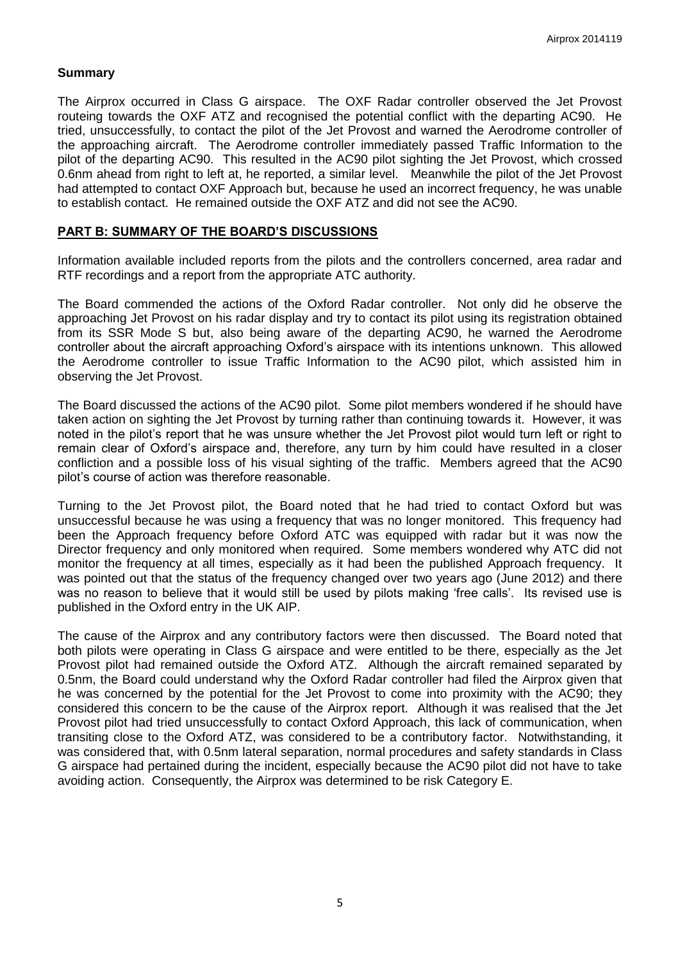## **Summary**

The Airprox occurred in Class G airspace. The OXF Radar controller observed the Jet Provost routeing towards the OXF ATZ and recognised the potential conflict with the departing AC90. He tried, unsuccessfully, to contact the pilot of the Jet Provost and warned the Aerodrome controller of the approaching aircraft. The Aerodrome controller immediately passed Traffic Information to the pilot of the departing AC90. This resulted in the AC90 pilot sighting the Jet Provost, which crossed 0.6nm ahead from right to left at, he reported, a similar level. Meanwhile the pilot of the Jet Provost had attempted to contact OXF Approach but, because he used an incorrect frequency, he was unable to establish contact. He remained outside the OXF ATZ and did not see the AC90.

## **PART B: SUMMARY OF THE BOARD'S DISCUSSIONS**

Information available included reports from the pilots and the controllers concerned, area radar and RTF recordings and a report from the appropriate ATC authority.

The Board commended the actions of the Oxford Radar controller. Not only did he observe the approaching Jet Provost on his radar display and try to contact its pilot using its registration obtained from its SSR Mode S but, also being aware of the departing AC90, he warned the Aerodrome controller about the aircraft approaching Oxford's airspace with its intentions unknown. This allowed the Aerodrome controller to issue Traffic Information to the AC90 pilot, which assisted him in observing the Jet Provost.

The Board discussed the actions of the AC90 pilot. Some pilot members wondered if he should have taken action on sighting the Jet Provost by turning rather than continuing towards it. However, it was noted in the pilot's report that he was unsure whether the Jet Provost pilot would turn left or right to remain clear of Oxford's airspace and, therefore, any turn by him could have resulted in a closer confliction and a possible loss of his visual sighting of the traffic. Members agreed that the AC90 pilot's course of action was therefore reasonable.

Turning to the Jet Provost pilot, the Board noted that he had tried to contact Oxford but was unsuccessful because he was using a frequency that was no longer monitored. This frequency had been the Approach frequency before Oxford ATC was equipped with radar but it was now the Director frequency and only monitored when required. Some members wondered why ATC did not monitor the frequency at all times, especially as it had been the published Approach frequency. It was pointed out that the status of the frequency changed over two years ago (June 2012) and there was no reason to believe that it would still be used by pilots making 'free calls'. Its revised use is published in the Oxford entry in the UK AIP.

The cause of the Airprox and any contributory factors were then discussed. The Board noted that both pilots were operating in Class G airspace and were entitled to be there, especially as the Jet Provost pilot had remained outside the Oxford ATZ. Although the aircraft remained separated by 0.5nm, the Board could understand why the Oxford Radar controller had filed the Airprox given that he was concerned by the potential for the Jet Provost to come into proximity with the AC90; they considered this concern to be the cause of the Airprox report. Although it was realised that the Jet Provost pilot had tried unsuccessfully to contact Oxford Approach, this lack of communication, when transiting close to the Oxford ATZ, was considered to be a contributory factor. Notwithstanding, it was considered that, with 0.5nm lateral separation, normal procedures and safety standards in Class G airspace had pertained during the incident, especially because the AC90 pilot did not have to take avoiding action. Consequently, the Airprox was determined to be risk Category E.